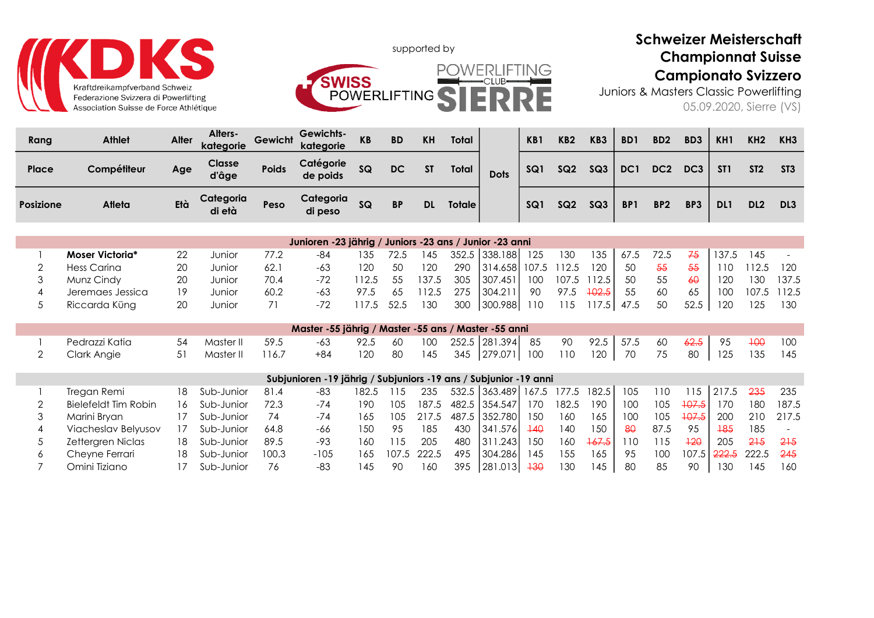

П



## Schweizer Meisterschaft Championnat Suisse Campionato Svizzero

Juniors & Masters Classic Powerlifting 05.09.2020, Sierre (VS)

| Rang      | <b>Athlet</b> | Alter | <b>Alters-</b><br>kategorie | Gewicht      | <b>Gewichts-</b><br>kategorie | <b>KB</b> | <b>BD</b> | <b>KH</b> | Total         |             | KB1 | KB <sub>2</sub> | KB <sub>3</sub> | B <sub>D</sub> 1 | BD <sub>2</sub> | BD <sub>3</sub> | KH <sub>1</sub> | KH <sub>2</sub> | KH <sub>3</sub> |
|-----------|---------------|-------|-----------------------------|--------------|-------------------------------|-----------|-----------|-----------|---------------|-------------|-----|-----------------|-----------------|------------------|-----------------|-----------------|-----------------|-----------------|-----------------|
| Place     | Compétiteur   | Age   | <b>Classe</b><br>d'âge      | <b>Poids</b> | Catégorie<br>de poids         | SQ        | DC        | <b>ST</b> | Total         | <b>Dots</b> | SQ1 | SQ2             | SQ3             | DC <sub>1</sub>  | DC <sub>2</sub> | DC <sub>3</sub> | ST <sub>1</sub> | ST <sub>2</sub> | ST <sub>3</sub> |
| Posizione | Atleta        | Età   | Categoria<br>di età         | Peso         | Categoria<br>di peso          | SQ        | <b>BP</b> | <b>DL</b> | <b>Totale</b> |             | SQ1 | SQ2             | SQ3             | BP <sub>1</sub>  | BP <sub>2</sub> | BP3             | DL1             | DL <sub>2</sub> | DL <sub>3</sub> |

|                  |    |        |      | Junioren -23 jährig / Juniors -23 ans / Junior -23 anni |      |            |       |     |                 |     |       |              |      |      |                 |       |       |             |
|------------------|----|--------|------|---------------------------------------------------------|------|------------|-------|-----|-----------------|-----|-------|--------------|------|------|-----------------|-------|-------|-------------|
| Moser Victoria*  | 22 | Junior | 77.2 | -84                                                     | 135  | 72.5       | l 45  |     | 352.5 338.188   | 125 | 130   | 135          | 67.5 | 72.5 | -75             | 137.5 | 145   |             |
| Hess Carina      | 20 | Junior | 62.1 | -63                                                     | 120  | 50         | 120   | 290 | 314.658   107.5 |     | 112.5 | 120          | -50  | 55   | -55             | 110   | 112.5 | 120         |
| Munz Cindy       | 20 | Junior | 70.4 |                                                         | 12.5 | 55         | 137.5 | 305 | 307.451         | 100 | 107.5 | 112.5        | -50  | 55   | $\overline{60}$ | 120   | 130   | 137.5       |
| Jeremaes Jessica |    | Junior | 60.2 | -63                                                     | 97.5 | 65         | 12.5  | 275 | 304.211         | 90  | 97.5  | $+02.5$      | -55  | 60   | 65              | 100   |       | 107.5 112.5 |
| Riccarda Küna    | 20 | Junior |      | $-72$                                                   |      | 117.5 52.5 | 130   | 300 | 300.988         | 110 | 115   | $117.5$ 47.5 |      | 50   | 52.5            | 120   | 125   | 130         |

|                |              |       | Master -55 jährig / Master -55 ans / Master -55 anni                                     |  |  |                                                         |  |  |  |  |  |
|----------------|--------------|-------|------------------------------------------------------------------------------------------|--|--|---------------------------------------------------------|--|--|--|--|--|
| Pedrazzi Katia | 54 Master II | 59.5  | $-63$ 92.5 60 100 252.5 281.394 85 90 92.5 57.5 60 <del>62.5</del> 95 <del>100</del> 100 |  |  |                                                         |  |  |  |  |  |
| Clark Anaie    | Master II    | 116.7 | +84                                                                                      |  |  | 120 80 145 345 279.071 100 110 120 70 75 80 125 135 145 |  |  |  |  |  |

|                      |     |            |       | Subjunioren -19 jährig / Subjuniors -19 ans / Subjunior -19 anni |       |     |             |     |                                 |                  |       |       |     |      |       |             |       |        |
|----------------------|-----|------------|-------|------------------------------------------------------------------|-------|-----|-------------|-----|---------------------------------|------------------|-------|-------|-----|------|-------|-------------|-------|--------|
| Tregan Remi          | 18. | Sub-Junior | 81.4  | -83                                                              | 182.5 | 115 | 235         |     | 532.5 363.489 167.5 177.5 182.5 |                  |       |       | 105 | 110  | 15    | 1217.5      | 235   | 235    |
| Bielefeldt Tim Robin | 16  | Sub-Junior | 72.3  | $-74$                                                            | 190   | 105 | 187.5       |     | 482.5 354.547                   | 170              | 182.5 | 190   | 100 | 105  | +07.5 | 170.        | 180   | 187.5  |
| Marini Bryan         |     | Sub-Junior | 74    | $-74$                                                            | 165   | 105 | 217.5       |     | 487.5 352.780                   | 150              | 160   | 165   | 100 | 105  | +07.5 | 200         | 210   | 217.5  |
| Viacheslav Belyusov  |     | Sub-Junior | 64.8  | -66                                                              | 150   | 95  | 185         | 430 | 341.576                         | $\overline{140}$ | 140   | 150   | 80  | 87.5 | 95    | +85         | 185   |        |
| Zettergren Niclas    | 18. | Sub-Junior | 89.5  | -93                                                              | 160   |     | 205         | 480 | 311.243                         | 150              | 160   | 167.5 | 110 | 115  | $+20$ | 205         | 215   | -215   |
| Chevne Ferrari       | 18. | Sub-Junior | 100.3 | $-105$                                                           | 165   |     | 107.5 222.5 | 495 | 304.286                         | 145              | 155   | 165   | 95  | 100  |       | 107.5 222.5 | 222.5 | $-245$ |
| Omini Tiziano        |     | Sub-Junior | 76    | -83                                                              | 145   | 90  | 160         | 395 | 281.013                         | $+30$            | 130   | 145   | 80  | 85   | 90    | 130         | 145   | 160    |